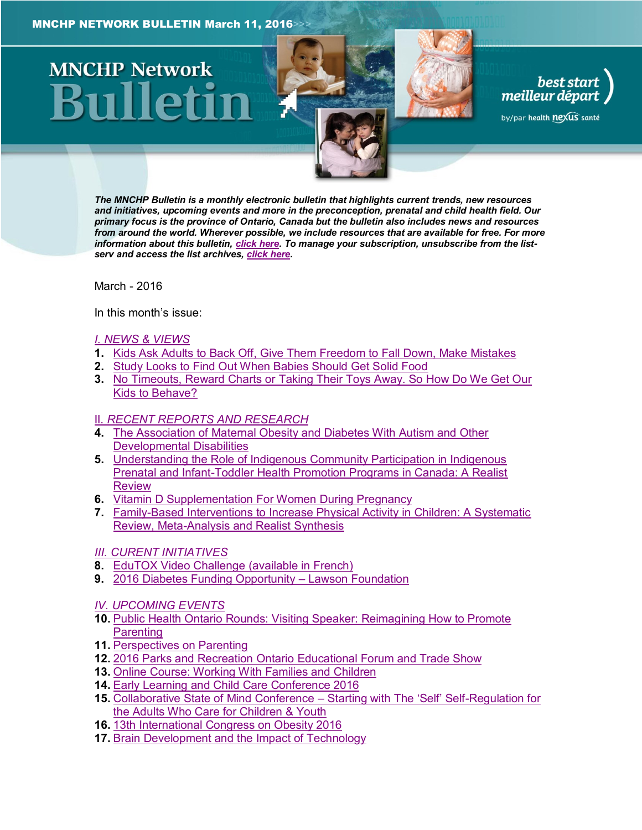# **MNCHP Network**

*The MNCHP Bulletin is a monthly electronic bulletin that highlights current trends, new resources and initiatives, upcoming events and more in the preconception, prenatal and child health field. Our primary focus is the province of Ontario, Canada but the bulletin also includes news and resources from around the world. Wherever possible, we include resources that are available for free. For more information about this bulletin, [click here.](#page-13-0) To manage your subscription, unsubscribe from the listserv and access the list archives, [click here.](http://en.beststart.org/services/information-exchange)* 

best start<br>meilleur départ

by/par health nexus santé

<span id="page-0-0"></span>March - 2016

In this month's issue:

#### *[I. NEWS & VIEWS](#page-1-0)*

- **1.** [Kids Ask Adults to Back Off, Give Them Freedom to Fall Down, Make Mistakes](#page-1-1)
- **2.** [Study Looks to Find Out When Babies Should Get Solid Food](#page-1-2)
- **3.** No Timeouts, Reward Charts or [Taking Their Toys Away. So How Do We Get Our](#page-2-0)  [Kids to Behave?](#page-2-0)

#### II. *[RECENT REPORTS AND RESEARCH](#page-2-1)*

- **4.** [The Association of Maternal Obesity and Diabetes With Autism and Other](#page-2-2)  [Developmental Disabilities](#page-2-2)
- **5.** [Understanding the Role of Indigenous Community Participation in Indigenous](#page-3-0)  [Prenatal and Infant-Toddler Health Promotion Programs in Canada: A Realist](#page-3-0)  **[Review](#page-3-0)**
- **6.** Vitamin D [Supplementation For Women During Pregnancy](#page-4-0)
- **7.** [Family-Based Interventions to Increase Physical Activity in Children: A Systematic](#page-6-0)  [Review, Meta-Analysis and Realist Synthesis](#page-6-0)
- *[III. CURENT INITIATIVES](#page-7-0)*
- **8.** [EduTOX Video Challenge \(available in French\)](#page-7-1)
- **9.** [2016 Diabetes Funding Opportunity](#page-7-2)  Lawson Foundation
- *[IV. UPCOMING EVENTS](#page-7-3)*
- **10.** Public Health Ontario [Rounds: Visiting Speaker: Reimagining How to Promote](#page-7-4)  **[Parenting](#page-7-4)**
- **11.** [Perspectives on Parenting](#page-8-0)
- **12.** 2016 Parks and Recreation Ontario [Educational Forum and Trade Show](#page-8-1)
- **13.** [Online Course: Working With Families and Children](#page-8-2)
- **14.** [Early Learning and Child Care Conference 2016](#page-8-3)
- **15.** [Collaborative State of Mind Conference](#page-9-0)  Starting with The 'Self' Self-Regulation for [the Adults Who Care for Children & Youth](#page-9-0)
- **16.** [13th International Congress on Obesity 2016](#page-9-1)
- **17.** [Brain Development and the Impact of Technology](#page-9-2)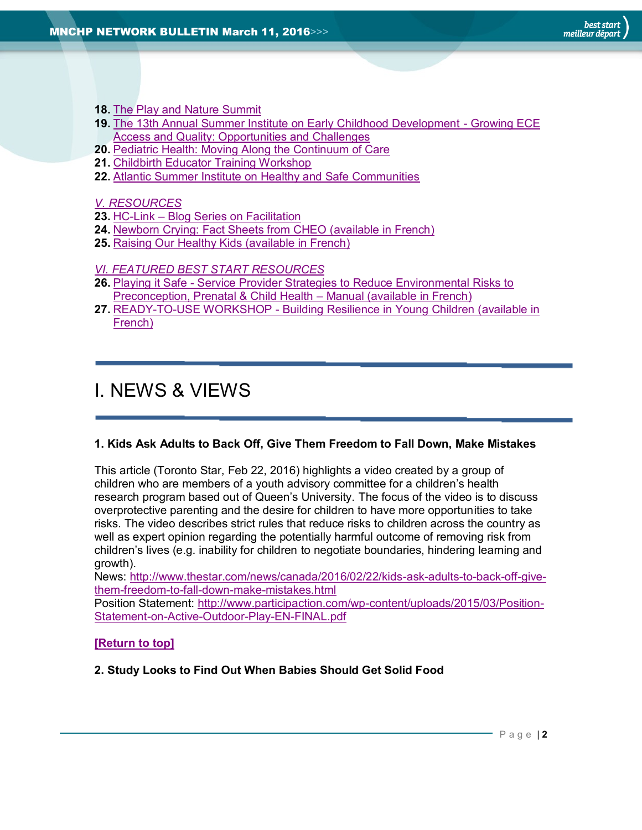- **18.** [The Play and Nature Summit](#page-10-0)
- **19.** [The 13th Annual Summer Institute on Early Childhood Development -](#page-10-1) Growing ECE [Access and Quality: Opportunities and Challenges](#page-10-1)
- **20.** [Pediatric Health: Moving Along the Continuum of Care](#page-10-2)
- **21.** [Childbirth Educator Training Workshop](#page-10-3)
- **22.** [Atlantic Summer Institute on Healthy and Safe Communities](#page-11-0)

#### *[V. RESOURCES](#page-11-1)*

- **23.** HC-Link [Blog Series on Facilitation](#page-11-2)
- **24.** [Newborn Crying: Fact Sheets from CHEO \(available in French\)](#page-11-3)
- **25.** [Raising Our Healthy Kids \(available in French\)](#page-11-4)

### *[VI. FEATURED BEST START RESOURCES](#page-12-0)*

- **26.** Playing it Safe [Service Provider Strategies to Reduce Environmental Risks to](#page-11-4)  [Preconception, Prenatal & Child Health](#page-11-4) – Manual (available in French)
- **27.** READY-TO-USE WORKSHOP [Building Resilience in Young Children \(available in](#page-12-1)  [French\)](#page-12-1)

# <span id="page-1-0"></span>I. NEWS & VIEWS

# <span id="page-1-1"></span>**1. Kids Ask Adults to Back Off, Give Them Freedom to Fall Down, Make Mistakes**

This article (Toronto Star, Feb 22, 2016) highlights a video created by a group of children who are members of a youth advisory committee for a children's health research program based out of Queen's University. The focus of the video is to discuss overprotective parenting and the desire for children to have more opportunities to take risks. The video describes strict rules that reduce risks to children across the country as well as expert opinion regarding the potentially harmful outcome of removing risk from children's lives (e.g. inability for children to negotiate boundaries, hindering learning and growth).

News: [http://www.thestar.com/news/canada/2016/02/22/kids-ask-adults-to-back-off-give](http://www.thestar.com/news/canada/2016/02/22/kids-ask-adults-to-back-off-give-them-freedom-to-fall-down-make-mistakes.html)[them-freedom-to-fall-down-make-mistakes.html](http://www.thestar.com/news/canada/2016/02/22/kids-ask-adults-to-back-off-give-them-freedom-to-fall-down-make-mistakes.html)

Position Statement: [http://www.participaction.com/wp-content/uploads/2015/03/Position-](http://www.participaction.com/wp-content/uploads/2015/03/Position-Statement-on-Active-Outdoor-Play-EN-FINAL.pdf)[Statement-on-Active-Outdoor-Play-EN-FINAL.pdf](http://www.participaction.com/wp-content/uploads/2015/03/Position-Statement-on-Active-Outdoor-Play-EN-FINAL.pdf)

# **[\[Return to top\]](#page-0-0)**

# <span id="page-1-2"></span>**2. Study Looks to Find Out When Babies Should Get Solid Food**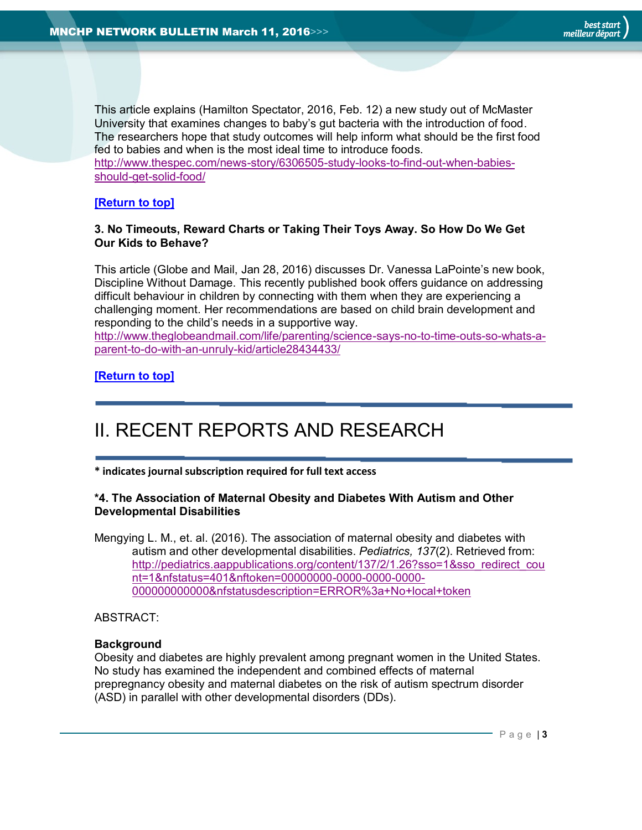This article explains (Hamilton Spectator, 2016, Feb. 12) a new study out of McMaster University that examines changes to baby's gut bacteria with the introduction of food. The researchers hope that study outcomes will help inform what should be the first food fed to babies and when is the most ideal time to introduce foods. [http://www.thespec.com/news-story/6306505-study-looks-to-find-out-when-babies](http://www.thespec.com/news-story/6306505-study-looks-to-find-out-when-babies-should-get-solid-food/)[should-get-solid-food/](http://www.thespec.com/news-story/6306505-study-looks-to-find-out-when-babies-should-get-solid-food/)

# **[\[Return](#page-0-0) to top]**

### <span id="page-2-0"></span>**3. No Timeouts, Reward Charts or Taking Their Toys Away. So How Do We Get Our Kids to Behave?**

This article (Globe and Mail, Jan 28, 2016) discusses Dr. Vanessa LaPointe's new book, Discipline Without Damage. This recently published book offers guidance on addressing difficult behaviour in children by connecting with them when they are experiencing a challenging moment. Her recommendations are based on child brain development and responding to the child's needs in a supportive way.

[http://www.theglobeandmail.com/life/parenting/science-says-no-to-time-outs-so-whats-a](http://www.theglobeandmail.com/life/parenting/science-says-no-to-time-outs-so-whats-a-parent-to-do-with-an-unruly-kid/article28434433/)[parent-to-do-with-an-unruly-kid/article28434433/](http://www.theglobeandmail.com/life/parenting/science-says-no-to-time-outs-so-whats-a-parent-to-do-with-an-unruly-kid/article28434433/)

# **[\[Return to top\]](#page-0-0)**

# <span id="page-2-1"></span>II. RECENT REPORTS AND RESEARCH

**\* indicates journal subscription required for full text access**

#### <span id="page-2-2"></span>**\*4. The Association of Maternal Obesity and Diabetes With Autism and Other Developmental Disabilities**

Mengying L. M., et. al. (2016). The association of maternal obesity and diabetes with autism and other developmental disabilities. *Pediatrics, 137*(2). Retrieved from: [http://pediatrics.aappublications.org/content/137/2/1.26?sso=1&sso\\_redirect\\_cou](http://pediatrics.aappublications.org/content/137/2/1.26?sso=1&sso_redirect_count=1&nfstatus=401&nftoken=00000000-0000-0000-0000-000000000000&nfstatusdescription=ERROR%3a+No+local+token) [nt=1&nfstatus=401&nftoken=00000000-0000-0000-0000-](http://pediatrics.aappublications.org/content/137/2/1.26?sso=1&sso_redirect_count=1&nfstatus=401&nftoken=00000000-0000-0000-0000-000000000000&nfstatusdescription=ERROR%3a+No+local+token) [000000000000&nfstatusdescription=ERROR%3a+No+local+token](http://pediatrics.aappublications.org/content/137/2/1.26?sso=1&sso_redirect_count=1&nfstatus=401&nftoken=00000000-0000-0000-0000-000000000000&nfstatusdescription=ERROR%3a+No+local+token)

#### ABSTRACT:

#### **Background**

Obesity and diabetes are highly prevalent among pregnant women in the United States. No study has examined the independent and combined effects of maternal prepregnancy obesity and maternal diabetes on the risk of autism spectrum disorder (ASD) in parallel with other developmental disorders (DDs).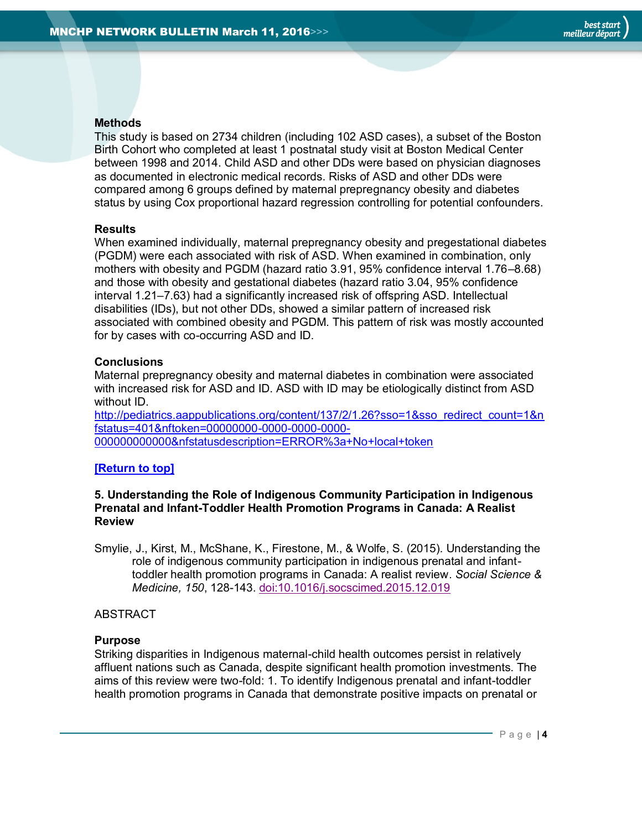#### **Methods**

This study is based on 2734 children (including 102 ASD cases), a subset of the Boston Birth Cohort who completed at least 1 postnatal study visit at Boston Medical Center between 1998 and 2014. Child ASD and other DDs were based on physician diagnoses as documented in electronic medical records. Risks of ASD and other DDs were compared among 6 groups defined by maternal prepregnancy obesity and diabetes status by using Cox proportional hazard regression controlling for potential confounders.

#### **Results**

When examined individually, maternal prepregnancy obesity and pregestational diabetes (PGDM) were each associated with risk of ASD. When examined in combination, only mothers with obesity and PGDM (hazard ratio 3.91, 95% confidence interval 1.76–8.68) and those with obesity and gestational diabetes (hazard ratio 3.04, 95% confidence interval 1.21–7.63) had a significantly increased risk of offspring ASD. Intellectual disabilities (IDs), but not other DDs, showed a similar pattern of increased risk associated with combined obesity and PGDM. This pattern of risk was mostly accounted for by cases with co-occurring ASD and ID.

#### **Conclusions**

Maternal prepregnancy obesity and maternal diabetes in combination were associated with increased risk for ASD and ID. ASD with ID may be etiologically distinct from ASD without ID.

[http://pediatrics.aappublications.org/content/137/2/1.26?sso=1&sso\\_redirect\\_count=1&n](http://pediatrics.aappublications.org/content/137/2/1.26?sso=1&sso_redirect_count=1&nfstatus=401&nftoken=00000000-0000-0000-0000-000000000000&nfstatusdescription=ERROR%3a+No+local+token) [fstatus=401&nftoken=00000000-0000-0000-0000-](http://pediatrics.aappublications.org/content/137/2/1.26?sso=1&sso_redirect_count=1&nfstatus=401&nftoken=00000000-0000-0000-0000-000000000000&nfstatusdescription=ERROR%3a+No+local+token) [000000000000&nfstatusdescription=ERROR%3a+No+local+token](http://pediatrics.aappublications.org/content/137/2/1.26?sso=1&sso_redirect_count=1&nfstatus=401&nftoken=00000000-0000-0000-0000-000000000000&nfstatusdescription=ERROR%3a+No+local+token)

#### **[\[Return to top\]](#page-0-0)**

## <span id="page-3-0"></span>**5. Understanding the Role of Indigenous Community Participation in Indigenous Prenatal and Infant-Toddler Health Promotion Programs in Canada: A Realist Review**

Smylie, J., Kirst, M., McShane, K., Firestone, M., & Wolfe, S. (2015). Understanding the role of indigenous community participation in indigenous prenatal and infanttoddler health promotion programs in Canada: A realist review. *Social Science & Medicine, 150*, 128-143. [doi:10.1016/j.socscimed.2015.12.019](http://dx.doi.org/10.1016/j.socscimed.2015.12.019)

#### ABSTRACT

#### **Purpose**

Striking disparities in Indigenous maternal-child health outcomes persist in relatively affluent nations such as Canada, despite significant health promotion investments. The aims of this review were two-fold: 1. To identify Indigenous prenatal and infant-toddler health promotion programs in Canada that demonstrate positive impacts on prenatal or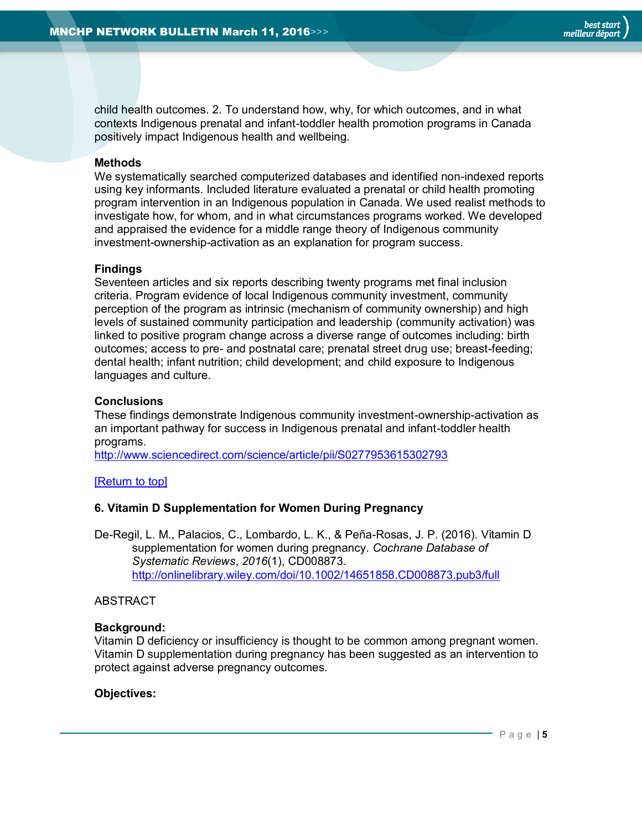child health outcomes. 2. To understand how, why, for which outcomes, and in what contexts Indigenous prenatal and infant-toddler health promotion programs in Canada positively impact Indigenous health and wellbeing.

#### **Methods**

We systematically searched computerized databases and identified non-indexed reports using key informants. Included literature evaluated a prenatal or child health promoting program intervention in an Indigenous population in Canada. We used realist methods to investigate how, for whom, and in what circumstances programs worked. We developed and appraised the evidence for a middle range theory of Indigenous community investment-ownership-activation as an explanation for program success.

### **Findings**

Seventeen articles and six reports describing twenty programs met final inclusion criteria. Program evidence of local Indigenous community investment, community perception of the program as intrinsic (mechanism of community ownership) and high levels of sustained community participation and leadership (community activation) was linked to positive program change across a diverse range of outcomes including: birth outcomes; access to pre- and postnatal care; prenatal street drug use; breast-feeding; dental health; infant nutrition; child development; and child exposure to Indigenous languages and culture.

### **Conclusions**

These findings demonstrate Indigenous community investment-ownership-activation as an important pathway for success in Indigenous prenatal and infant-toddler health programs.

<http://www.sciencedirect.com/science/article/pii/S0277953615302793>

#### [\[Return to top\]](#page-0-0)

#### <span id="page-4-0"></span>**6. Vitamin D Supplementation for Women During Pregnancy**

De-Regil, L. M., Palacios, C., Lombardo, L. K., & Peña-Rosas, J. P. (2016). Vitamin D supplementation for women during pregnancy. *Cochrane Database of Systematic Reviews*, *2016*(1), CD008873. <http://onlinelibrary.wiley.com/doi/10.1002/14651858.CD008873.pub3/full>

#### **ABSTRACT**

#### **Background:**

Vitamin D deficiency or insufficiency is thought to be common among pregnant women. Vitamin D supplementation during pregnancy has been suggested as an intervention to protect against adverse pregnancy outcomes.

#### **Objectives:**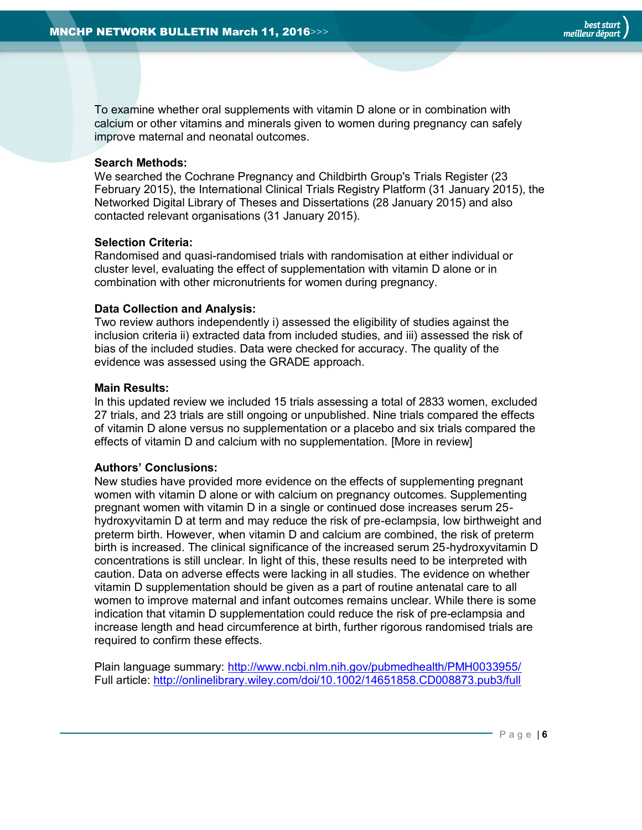To examine whether oral supplements with vitamin D alone or in combination with calcium or other vitamins and minerals given to women during pregnancy can safely improve maternal and neonatal outcomes.

#### **Search Methods:**

We searched the Cochrane Pregnancy and Childbirth Group's Trials Register (23 February 2015), the International Clinical Trials Registry Platform (31 January 2015), the Networked Digital Library of Theses and Dissertations (28 January 2015) and also contacted relevant organisations (31 January 2015).

### **Selection Criteria:**

Randomised and quasi-randomised trials with randomisation at either individual or cluster level, evaluating the effect of supplementation with vitamin D alone or in combination with other micronutrients for women during pregnancy.

### **Data Collection and Analysis:**

Two review authors independently i) assessed the eligibility of studies against the inclusion criteria ii) extracted data from included studies, and iii) assessed the risk of bias of the included studies. Data were checked for accuracy. The quality of the evidence was assessed using the GRADE approach.

### **Main Results:**

In this updated review we included 15 trials assessing a total of 2833 women, excluded 27 trials, and 23 trials are still ongoing or unpublished. Nine trials compared the effects of vitamin D alone versus no supplementation or a placebo and six trials compared the effects of vitamin D and calcium with no supplementation. [More in review]

#### **Authors' Conclusions:**

New studies have provided more evidence on the effects of supplementing pregnant women with vitamin D alone or with calcium on pregnancy outcomes. Supplementing pregnant women with vitamin D in a single or continued dose increases serum 25 hydroxyvitamin D at term and may reduce the risk of pre-eclampsia, low birthweight and preterm birth. However, when vitamin D and calcium are combined, the risk of preterm birth is increased. The clinical significance of the increased serum 25-hydroxyvitamin D concentrations is still unclear. In light of this, these results need to be interpreted with caution. Data on adverse effects were lacking in all studies. The evidence on whether vitamin D supplementation should be given as a part of routine antenatal care to all women to improve maternal and infant outcomes remains unclear. While there is some indication that vitamin D supplementation could reduce the risk of pre-eclampsia and increase length and head circumference at birth, further rigorous randomised trials are required to confirm these effects.

Plain language summary:<http://www.ncbi.nlm.nih.gov/pubmedhealth/PMH0033955/> Full article:<http://onlinelibrary.wiley.com/doi/10.1002/14651858.CD008873.pub3/full>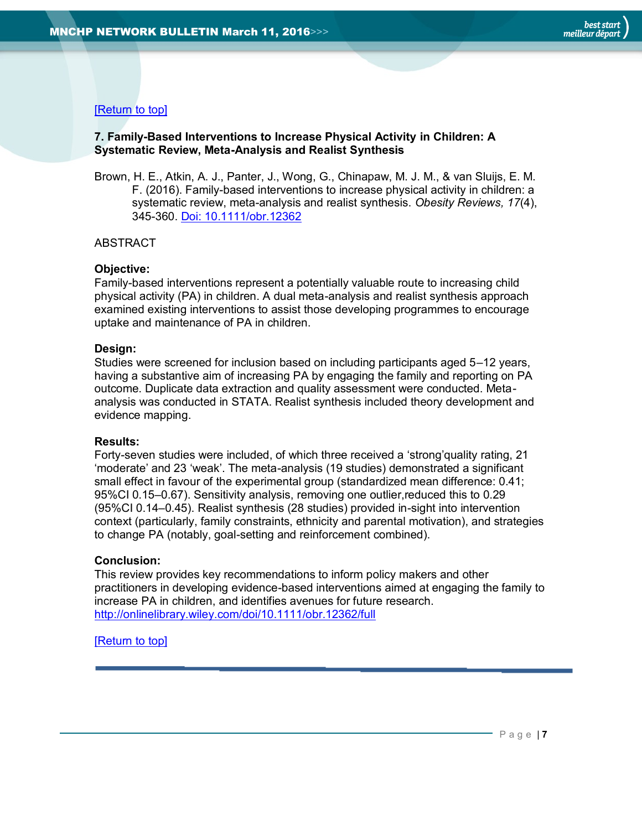# [\[Return to top\]](#page-0-0)

### <span id="page-6-0"></span>**7. Family-Based Interventions to Increase Physical Activity in Children: A Systematic Review, Meta-Analysis and Realist Synthesis**

Brown, H. E., Atkin, A. J., Panter, J., Wong, G., Chinapaw, M. J. M., & van Sluijs, E. M. F. (2016). Family-based interventions to increase physical activity in children: a systematic review, meta-analysis and realist synthesis. *Obesity Reviews, 17*(4), 345-360. Doi: [10.1111/obr.12362](http://onlinelibrary.wiley.com/doi/10.1111/obr.12362/full)

#### **ABSTRACT**

#### **Objective:**

Family-based interventions represent a potentially valuable route to increasing child physical activity (PA) in children. A dual meta-analysis and realist synthesis approach examined existing interventions to assist those developing programmes to encourage uptake and maintenance of PA in children.

#### **Design:**

Studies were screened for inclusion based on including participants aged 5–12 years, having a substantive aim of increasing PA by engaging the family and reporting on PA outcome. Duplicate data extraction and quality assessment were conducted. Metaanalysis was conducted in STATA. Realist synthesis included theory development and evidence mapping.

#### **Results:**

Forty-seven studies were included, of which three received a 'strong'quality rating, 21 'moderate' and 23 'weak'. The meta-analysis (19 studies) demonstrated a significant small effect in favour of the experimental group (standardized mean difference: 0.41; 95%CI 0.15–0.67). Sensitivity analysis, removing one outlier,reduced this to 0.29 (95%CI 0.14–0.45). Realist synthesis (28 studies) provided in-sight into intervention context (particularly, family constraints, ethnicity and parental motivation), and strategies to change PA (notably, goal-setting and reinforcement combined).

#### **Conclusion:**

This review provides key recommendations to inform policy makers and other practitioners in developing evidence-based interventions aimed at engaging the family to increase PA in children, and identifies avenues for future research. <http://onlinelibrary.wiley.com/doi/10.1111/obr.12362/full>

[\[Return to top\]](#page-0-0)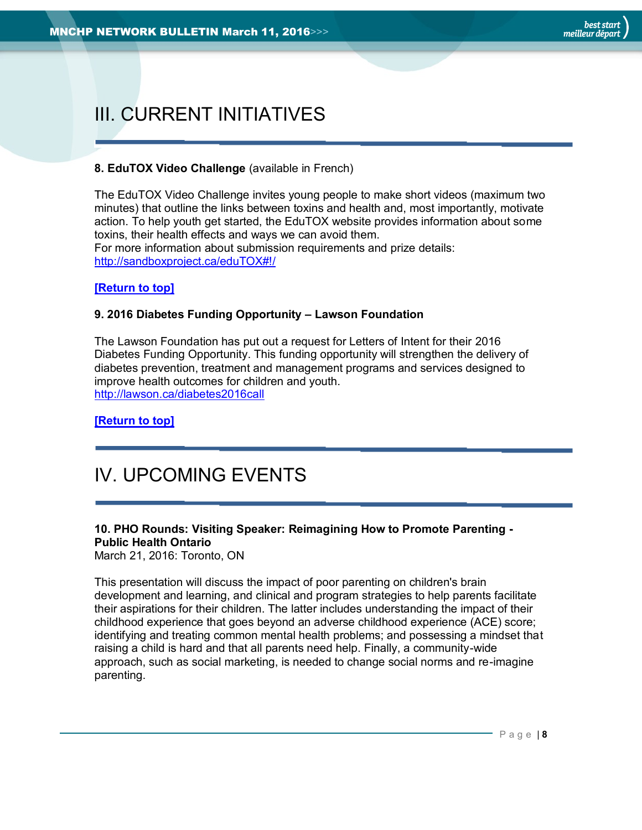# <span id="page-7-0"></span>III. CURRENT INITIATIVES

# <span id="page-7-1"></span>**8. EduTOX Video Challenge** (available in French)

The EduTOX Video Challenge invites young people to make short videos (maximum two minutes) that outline the links between toxins and health and, most importantly, motivate action. To help youth get started, the EduTOX website provides information about some toxins, their health effects and ways we can avoid them. For more information about submission requirements and prize details: <http://sandboxproject.ca/eduTOX#!/>

# **[\[Return to top\]](#page-0-0)**

# <span id="page-7-2"></span>**9. 2016 Diabetes Funding Opportunity – Lawson Foundation**

The Lawson Foundation has put out a request for Letters of Intent for their 2016 Diabetes Funding Opportunity. This funding opportunity will strengthen the delivery of diabetes prevention, treatment and management programs and services designed to improve health outcomes for children and youth. <http://lawson.ca/diabetes2016call>

**[\[Return to top\]](#page-0-0)**

# <span id="page-7-3"></span>IV. UPCOMING EVENTS

# <span id="page-7-4"></span>**10. PHO Rounds: Visiting Speaker: Reimagining How to Promote Parenting - Public Health Ontario**

March 21, 2016: Toronto, ON

This presentation will discuss the impact of poor parenting on children's brain development and learning, and clinical and program strategies to help parents facilitate their aspirations for their children. The latter includes understanding the impact of their childhood experience that goes beyond an adverse childhood experience (ACE) score; identifying and treating common mental health problems; and possessing a mindset that raising a child is hard and that all parents need help. Finally, a community-wide approach, such as social marketing, is needed to change social norms and re-imagine parenting.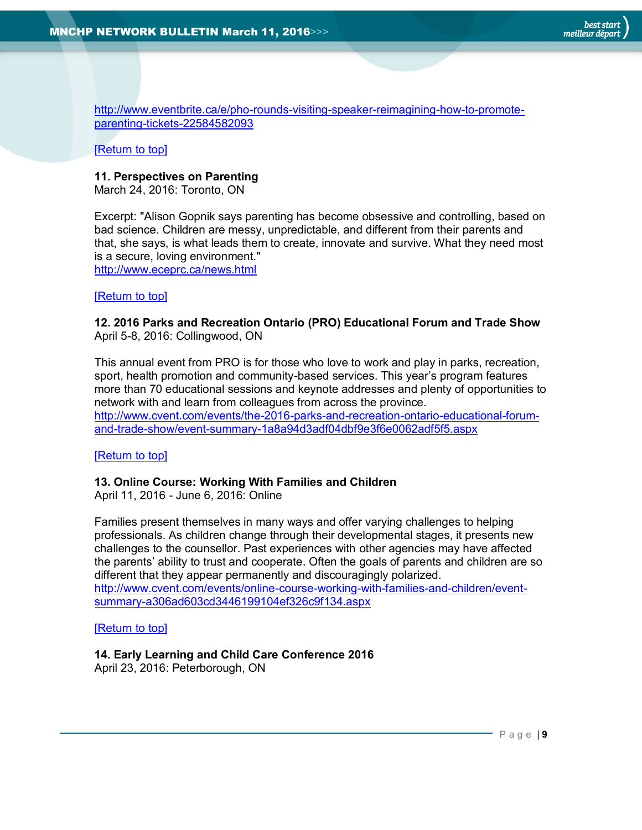[http://www.eventbrite.ca/e/pho-rounds-visiting-speaker-reimagining-how-to-promote](http://www.eventbrite.ca/e/pho-rounds-visiting-speaker-reimagining-how-to-promote-parenting-tickets-22584582093)[parenting-tickets-22584582093](http://www.eventbrite.ca/e/pho-rounds-visiting-speaker-reimagining-how-to-promote-parenting-tickets-22584582093)

[\[Return to top\]](#page-0-0)

#### <span id="page-8-0"></span>**11. Perspectives on Parenting**

March 24, 2016: Toronto, ON

Excerpt: "Alison Gopnik says parenting has become obsessive and controlling, based on bad science. Children are messy, unpredictable, and different from their parents and that, she says, is what leads them to create, innovate and survive. What they need most is a secure, loving environment."

<http://www.eceprc.ca/news.html>

### [\[Return to top\]](#page-0-0)

### <span id="page-8-1"></span>**12. 2016 Parks and Recreation Ontario (PRO) Educational Forum and Trade Show** April 5-8, 2016: Collingwood, ON

This annual event from PRO is for those who love to work and play in parks, recreation, sport, health promotion and community-based services. This year's program features more than 70 educational sessions and keynote addresses and plenty of opportunities to network with and learn from colleagues from across the province. [http://www.cvent.com/events/the-2016-parks-and-recreation-ontario-educational-forum](http://www.cvent.com/events/the-2016-parks-and-recreation-ontario-educational-forum-and-trade-show/event-summary-1a8a94d3adf04dbf9e3f6e0062adf5f5.aspx)[and-trade-show/event-summary-1a8a94d3adf04dbf9e3f6e0062adf5f5.aspx](http://www.cvent.com/events/the-2016-parks-and-recreation-ontario-educational-forum-and-trade-show/event-summary-1a8a94d3adf04dbf9e3f6e0062adf5f5.aspx)

[\[Return to top\]](#page-0-0)

# <span id="page-8-2"></span>**13. Online Course: Working With Families and Children**

April 11, 2016 - June 6, 2016: Online

Families present themselves in many ways and offer varying challenges to helping professionals. As children change through their developmental stages, it presents new challenges to the counsellor. Past experiences with other agencies may have affected the parents' ability to trust and cooperate. Often the goals of parents and children are so different that they appear permanently and discouragingly polarized. [http://www.cvent.com/events/online-course-working-with-families-and-children/event](http://www.cvent.com/events/online-course-working-with-families-and-children/event-summary-a306ad603cd3446199104ef326c9f134.aspx)[summary-a306ad603cd3446199104ef326c9f134.aspx](http://www.cvent.com/events/online-course-working-with-families-and-children/event-summary-a306ad603cd3446199104ef326c9f134.aspx)

[\[Return to top\]](#page-0-0)

#### <span id="page-8-3"></span>**14. Early Learning and Child Care Conference 2016** April 23, 2016: Peterborough, ON

P a g e | **9**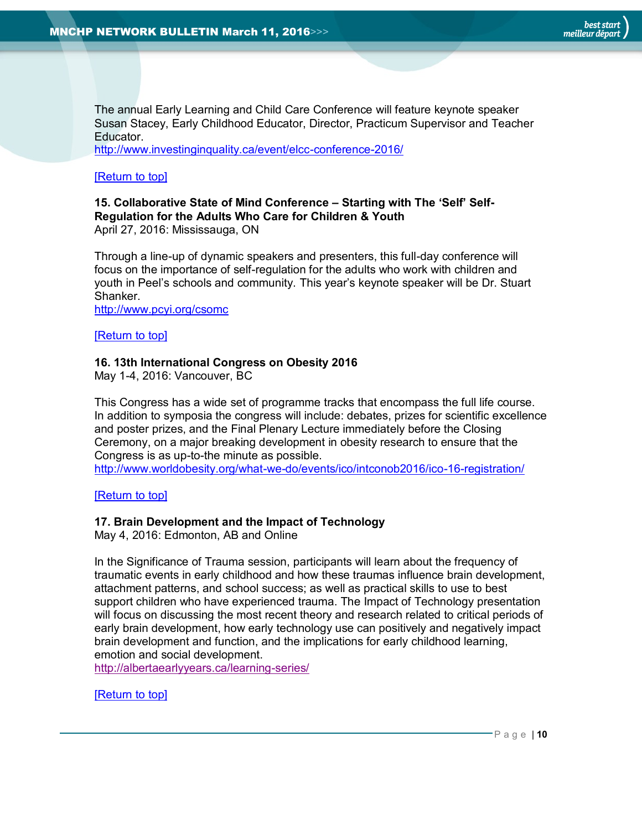The annual Early Learning and Child Care Conference will feature keynote speaker Susan Stacey, Early Childhood Educator, Director, Practicum Supervisor and Teacher Educator.

<http://www.investinginquality.ca/event/elcc-conference-2016/>

## [\[Return to top\]](#page-0-0)

#### <span id="page-9-0"></span>**15. Collaborative State of Mind Conference – Starting with The 'Self' Self-Regulation for the Adults Who Care for Children & Youth** April 27, 2016: Mississauga, ON

Through a line-up of dynamic speakers and presenters, this full-day conference will focus on the importance of self-regulation for the adults who work with children and youth in Peel's schools and community. This year's keynote speaker will be Dr. Stuart Shanker.

<http://www.pcyi.org/csomc>

[\[Return to top\]](#page-0-0)

#### <span id="page-9-1"></span>**16. 13th International Congress on Obesity 2016**

May 1-4, 2016: Vancouver, BC

This Congress has a wide set of programme tracks that encompass the full life course. In addition to symposia the congress will include: debates, prizes for scientific excellence and poster prizes, and the Final Plenary Lecture immediately before the Closing Ceremony, on a major breaking development in obesity research to ensure that the Congress is as up-to-the minute as possible. <http://www.worldobesity.org/what-we-do/events/ico/intconob2016/ico-16-registration/>

[\[Return to top\]](#page-0-0)

#### <span id="page-9-2"></span>**17. Brain Development and the Impact of Technology**

May 4, 2016: Edmonton, AB and Online

In the Significance of Trauma session, participants will learn about the frequency of traumatic events in early childhood and how these traumas influence brain development, attachment patterns, and school success; as well as practical skills to use to best support children who have experienced trauma. The Impact of Technology presentation will focus on discussing the most recent theory and research related to critical periods of early brain development, how early technology use can positively and negatively impact brain development and function, and the implications for early childhood learning, emotion and social development.

<http://albertaearlyyears.ca/learning-series/>

[\[Return to top\]](#page-0-0)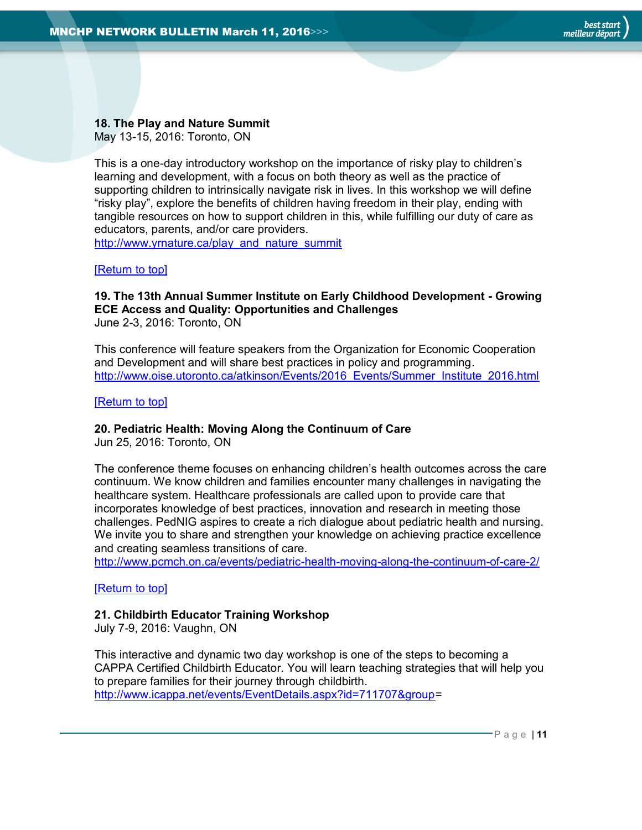<span id="page-10-0"></span>**18. The Play and Nature Summit** May 13-15, 2016: Toronto, ON

This is a one-day introductory workshop on the importance of risky play to children's learning and development, with a focus on both theory as well as the practice of supporting children to intrinsically navigate risk in lives. In this workshop we will define "risky play", explore the benefits of children having freedom in their play, ending with tangible resources on how to support children in this, while fulfilling our duty of care as educators, parents, and/or care providers.

[http://www.yrnature.ca/play\\_and\\_nature\\_summit](http://www.yrnature.ca/play_and_nature_summit)

### [\[Return to top\]](#page-0-0)

<span id="page-10-1"></span>**19. The 13th Annual Summer Institute on Early Childhood Development - Growing ECE Access and Quality: Opportunities and Challenges** June 2-3, 2016: Toronto, ON

This conference will feature speakers from the Organization for Economic Cooperation and Development and will share best practices in policy and programming. [http://www.oise.utoronto.ca/atkinson/Events/2016\\_Events/Summer\\_Institute\\_2016.html](http://www.oise.utoronto.ca/atkinson/Events/2016_Events/Summer_Institute_2016.html)

#### [\[Return to top\]](#page-0-0)

#### <span id="page-10-2"></span>**20. Pediatric Health: Moving Along the Continuum of Care**

Jun 25, 2016: Toronto, ON

The conference theme focuses on enhancing children's health outcomes across the care continuum. We know children and families encounter many challenges in navigating the healthcare system. Healthcare professionals are called upon to provide care that incorporates knowledge of best practices, innovation and research in meeting those challenges. PedNIG aspires to create a rich dialogue about pediatric health and nursing. We invite you to share and strengthen your knowledge on achieving practice excellence and creating seamless transitions of care.

<http://www.pcmch.on.ca/events/pediatric-health-moving-along-the-continuum-of-care-2/>

#### [\[Return to top\]](#page-0-0)

#### <span id="page-10-3"></span>**21. Childbirth Educator Training Workshop**

July 7-9, 2016: Vaughn, ON

This interactive and dynamic two day workshop is one of the steps to becoming a CAPPA Certified Childbirth Educator. You will learn teaching strategies that will help you to prepare families for their journey through childbirth. [http://www.icappa.net/events/EventDetails.aspx?id=711707&group=](http://www.icappa.net/events/EventDetails.aspx?id=711707&group)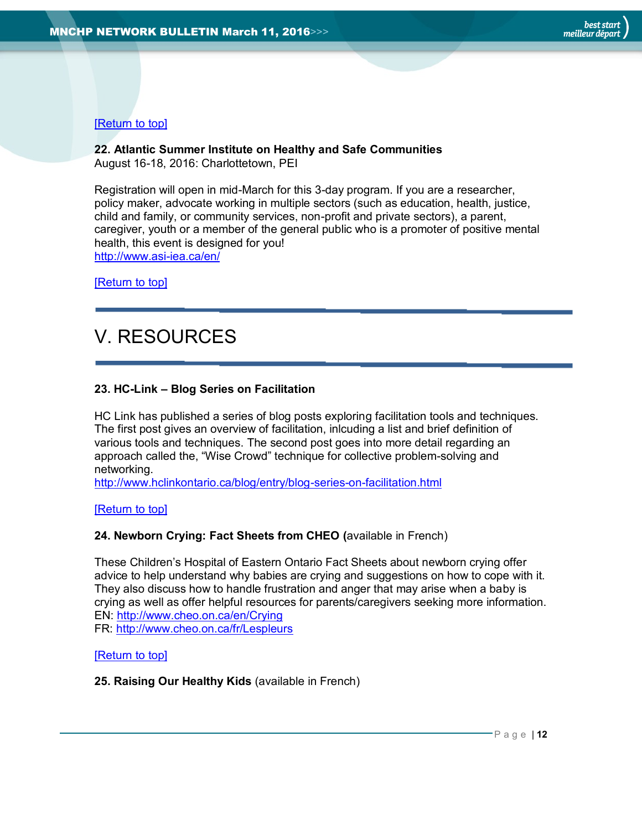# [\[Return to top\]](#page-0-0)

<span id="page-11-0"></span>**22. Atlantic Summer Institute on Healthy and Safe Communities** August 16-18, 2016: Charlottetown, PEI

Registration will open in mid-March for this 3-day program. If you are a researcher, policy maker, advocate working in multiple sectors (such as education, health, justice, child and family, or community services, non-profit and private sectors), a parent, caregiver, youth or a member of the general public who is a promoter of positive mental health, this event is designed for you! <http://www.asi-iea.ca/en/>

[\[Return to top\]](#page-0-0)

# <span id="page-11-1"></span>V. RESOURCES

# <span id="page-11-2"></span>**23. HC-Link – Blog Series on Facilitation**

HC Link has published a series of blog posts exploring facilitation tools and techniques. The first post gives an overview of facilitation, inlcuding a list and brief definition of various tools and techniques. The second post goes into more detail regarding an approach called the, "Wise Crowd" technique for collective problem-solving and networking.

<http://www.hclinkontario.ca/blog/entry/blog-series-on-facilitation.html>

[\[Return to top\]](#page-0-0)

#### <span id="page-11-3"></span>**24. Newborn Crying: Fact Sheets from CHEO (**available in French)

These Children's Hospital of Eastern Ontario Fact Sheets about newborn crying offer advice to help understand why babies are crying and suggestions on how to cope with it. They also discuss how to handle frustration and anger that may arise when a baby is crying as well as offer helpful resources for parents/caregivers seeking more information. EN:<http://www.cheo.on.ca/en/Crying> FR:<http://www.cheo.on.ca/fr/Lespleurs>

[\[Return to top\]](#page-0-0)

<span id="page-11-4"></span>**25. Raising Our Healthy Kids** (available in French)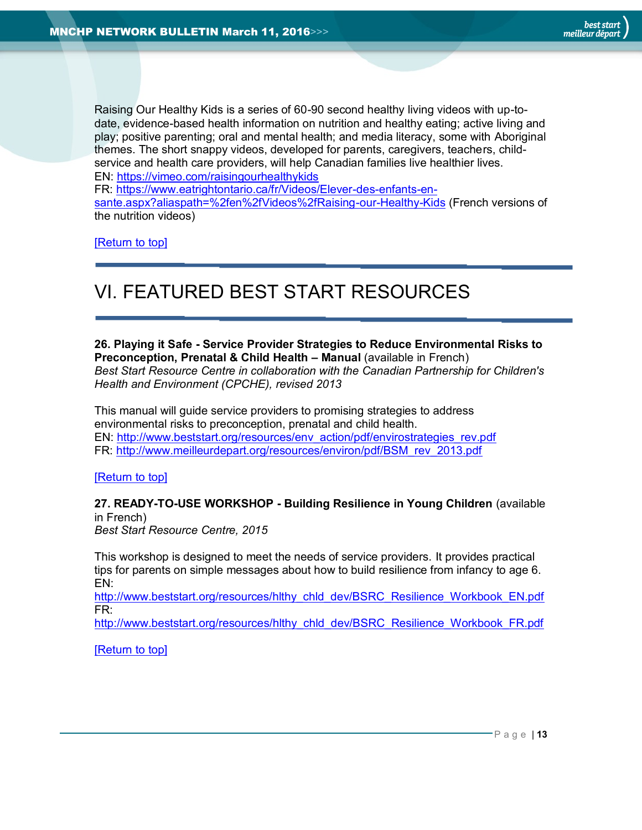Raising Our Healthy Kids is a series of 60-90 second healthy living videos with up-todate, evidence-based health information on nutrition and healthy eating; active living and play; positive parenting; oral and mental health; and media literacy, some with Aboriginal themes. The short snappy videos, developed for parents, caregivers, teachers, childservice and health care providers, will help Canadian families live healthier lives. EN:<https://vimeo.com/raisingourhealthykids> FR: [https://www.eatrightontario.ca/fr/Videos/Elever-des-enfants-en-](https://www.eatrightontario.ca/fr/Videos/Elever-des-enfants-en-sante.aspx?aliaspath=%2fen%2fVideos%2fRaising-our-Healthy-Kids)

[sante.aspx?aliaspath=%2fen%2fVideos%2fRaising-our-Healthy-Kids](https://www.eatrightontario.ca/fr/Videos/Elever-des-enfants-en-sante.aspx?aliaspath=%2fen%2fVideos%2fRaising-our-Healthy-Kids) (French versions of the nutrition videos)

[\[Return to top\]](#page-0-0)

# <span id="page-12-0"></span>VI. FEATURED BEST START RESOURCES

**26. Playing it Safe - Service Provider Strategies to Reduce Environmental Risks to Preconception, Prenatal & Child Health - Manual (available in French)** *Best Start Resource Centre in collaboration with the Canadian Partnership for Children's Health and Environment (CPCHE), revised 2013*

This manual will guide service providers to promising strategies to address environmental risks to preconception, prenatal and child health. EN: [http://www.beststart.org/resources/env\\_action/pdf/envirostrategies\\_rev.pdf](http://www.beststart.org/resources/env_action/pdf/envirostrategies_rev.pdf) FR: [http://www.meilleurdepart.org/resources/environ/pdf/BSM\\_rev\\_2013.pdf](http://www.meilleurdepart.org/resources/environ/pdf/BSM_rev_2013.pdf)

[\[Return to top\]](#page-0-0)

# <span id="page-12-1"></span>**27. READY-TO-USE WORKSHOP - Building Resilience in Young Children** (available in French)

*Best Start Resource Centre, 2015*

This workshop is designed to meet the needs of service providers. It provides practical tips for parents on simple messages about how to build resilience from infancy to age 6. EN:

[http://www.beststart.org/resources/hlthy\\_chld\\_dev/BSRC\\_Resilience\\_Workbook\\_EN.pdf](http://www.beststart.org/resources/hlthy_chld_dev/BSRC_Resilience_Workbook_EN.pdf) FR:

[http://www.beststart.org/resources/hlthy\\_chld\\_dev/BSRC\\_Resilience\\_Workbook\\_FR.pdf](http://www.beststart.org/resources/hlthy_chld_dev/BSRC_Resilience_Workbook_FR.pdf)

[\[Return to top\]](#page-0-0)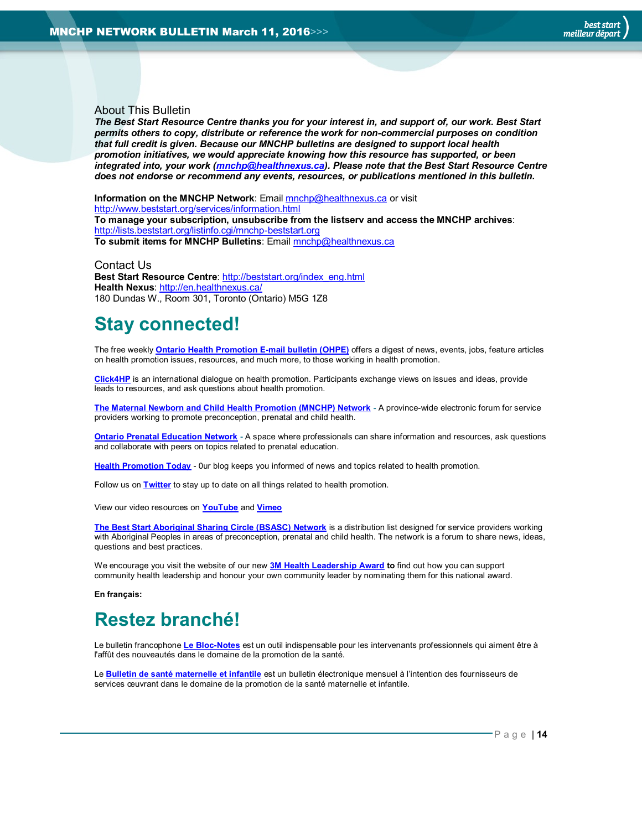#### <span id="page-13-0"></span>About This Bulletin

*The Best Start Resource Centre thanks you for your interest in, and support of, our work. Best Start permits others to copy, distribute or reference the work for non-commercial purposes on condition that full credit is given. Because our MNCHP bulletins are designed to support local health promotion initiatives, we would appreciate knowing how this resource has supported, or been integrated into, your work [\(mnchp@healthnexus.ca\)](mailto:mnchp@healthnexus.ca). Please note that the Best Start Resource Centre does not endorse or recommend any events, resources, or publications mentioned in this bulletin.* 

**Information on the MNCHP Network**: Emai[l mnchp@healthnexus.ca](mailto:mnchp@healthnexus.ca) or visit <http://www.beststart.org/services/information.html> **To manage your subscription, unsubscribe from the listserv and access the MNCHP archives**: <http://lists.beststart.org/listinfo.cgi/mnchp-beststart.org> **To submit items for MNCHP Bulletins**: Emai[l mnchp@healthnexus.ca](mailto:mnchp@healthnexus.ca)

Contact Us **Best Start Resource Centre**: [http://beststart.org/index\\_eng.html](http://beststart.org/index_eng.html) **Health Nexus**:<http://en.healthnexus.ca/> 180 Dundas W., Room 301, Toronto (Ontario) M5G 1Z8

# **Stay connected!**

The free weekly **[Ontario Health Promotion E-mail bulletin \(OHPE\)](http://www.ohpe.ca/)** offers a digest of news, events, jobs, feature articles on health promotion issues, resources, and much more, to those working in health promotion.

**[Click4HP](https://listserv.yorku.ca/archives/click4hp.html)** is an international dialogue on health promotion. Participants exchange views on issues and ideas, provide leads to resources, and ask questions about health promotion.

**[The Maternal Newborn and Child Health Promotion \(MNCHP\) Network](http://www.beststart.org/services/MNCHP.html) -** A province-wide electronic forum for service providers working to promote preconception, prenatal and child health.

**[Ontario Prenatal Education Network](http://fluidsurveys.com/surveys/ohpe/subscriptionsopen2015-2016/) -** A space where professionals can share information and resources, ask questions and collaborate with peers on topics related to prenatal education.

**[Health Promotion Today](http://en.healthnexus.ca/)** - 0ur blog keeps you informed of news and topics related to health promotion.

Follow us on **[Twitter](https://twitter.com/Health_Nexus)** to stay up to date on all things related to health promotion.

View our video resources on **[YouTube](http://www.youtube.com/user/healthnexussante)** and **[Vimeo](https://vimeo.com/user9493317)**

**[The Best Start Aboriginal Sharing Circle \(BSASC\) Network](http://lists.beststart.org/listinfo.cgi/bsasc-beststart.org)** is a distribution list designed for service providers working with Aboriginal Peoples in areas of preconception, prenatal and child health. The network is a forum to share news, ideas, questions and best practices.

We encourage you visit the website of our new **[3M Health Leadership Award](http://www.healthnexus.ca/leadershipaward) to** find out how you can support community health leadership and honour your own community leader by nominating them for this national award.

**En français:**

# **Restez branché!**

Le bulletin francophone **[Le Bloc-Notes](http://www.leblocnotes.ca/)** est un outil indispensable pour les intervenants professionnels qui aiment être à l'affût des nouveautés dans le domaine de la promotion de la santé.

Le **[Bulletin de santé maternelle et infantile](http://www.meilleurdepart.org/services/bulletins.html)** est un bulletin électronique mensuel à l'intention des fournisseurs de services œuvrant dans le domaine de la promotion de la santé maternelle et infantile.